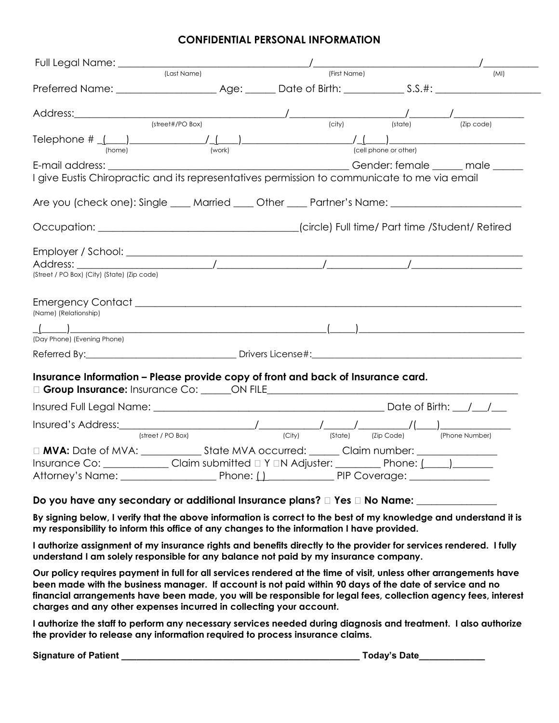#### **CONFIDENTIAL PERSONAL INFORMATION**

|                                                                                                                                                                                                                                                                                                                         | (Last Name)       | (First Name)                             |                                    | (MI)                          |
|-------------------------------------------------------------------------------------------------------------------------------------------------------------------------------------------------------------------------------------------------------------------------------------------------------------------------|-------------------|------------------------------------------|------------------------------------|-------------------------------|
|                                                                                                                                                                                                                                                                                                                         |                   |                                          |                                    |                               |
|                                                                                                                                                                                                                                                                                                                         |                   |                                          |                                    |                               |
|                                                                                                                                                                                                                                                                                                                         |                   |                                          | $\overline{(\text{city})}$ (state) | $\overline{Zip \text{ code}}$ |
| Telephone $\#\_\_\_\_\_\_\_\_\_\_\_\_\_\_\_\_\_$                                                                                                                                                                                                                                                                        |                   |                                          |                                    |                               |
|                                                                                                                                                                                                                                                                                                                         |                   |                                          |                                    |                               |
| I give Eustis Chiropractic and its representatives permission to communicate to me via email                                                                                                                                                                                                                            |                   |                                          |                                    |                               |
| Are you (check one): Single ____ Married ____ Other ____ Partner's Name: __________________________                                                                                                                                                                                                                     |                   |                                          |                                    |                               |
|                                                                                                                                                                                                                                                                                                                         |                   |                                          |                                    |                               |
|                                                                                                                                                                                                                                                                                                                         |                   |                                          |                                    |                               |
|                                                                                                                                                                                                                                                                                                                         |                   |                                          |                                    |                               |
|                                                                                                                                                                                                                                                                                                                         |                   |                                          |                                    |                               |
| (Street / PO Box) (City) (State) (Zip code)                                                                                                                                                                                                                                                                             |                   |                                          |                                    |                               |
|                                                                                                                                                                                                                                                                                                                         |                   |                                          |                                    |                               |
|                                                                                                                                                                                                                                                                                                                         |                   |                                          |                                    |                               |
|                                                                                                                                                                                                                                                                                                                         |                   |                                          |                                    |                               |
| (Name) (Relationship)<br>(Day Phone) (Evening Phone)                                                                                                                                                                                                                                                                    |                   |                                          |                                    |                               |
|                                                                                                                                                                                                                                                                                                                         |                   |                                          |                                    |                               |
| Insurance Information - Please provide copy of front and back of Insurance card.<br><b>Orroup Insurance:</b> Insurance Co: ______ON FILE Contract Contract Contract Contract Contract Contract Contract Contract Contract Contract Contract Contract Contract Contract Contract Contract Contract Contract Contract Con |                   |                                          |                                    |                               |
|                                                                                                                                                                                                                                                                                                                         |                   |                                          |                                    |                               |
|                                                                                                                                                                                                                                                                                                                         | (street / PO Box) | (City) (State) (Zip Code) (Phone Number) |                                    |                               |
|                                                                                                                                                                                                                                                                                                                         |                   |                                          |                                    |                               |
| Insurance Co: _____________Claim submitted □ Y □N Adjuster: __________ Phone: (____)________                                                                                                                                                                                                                            |                   |                                          |                                    |                               |

**By signing below, I verify that the above information is correct to the best of my knowledge and understand it is my responsibility to inform this office of any changes to the information I have provided.** 

**I authorize assignment of my insurance rights and benefits directly to the provider for services rendered. I fully understand I am solely responsible for any balance not paid by my insurance company.**

**Our policy requires payment in full for all services rendered at the time of visit, unless other arrangements have been made with the business manager. If account is not paid within 90 days of the date of service and no financial arrangements have been made, you will be responsible for legal fees, collection agency fees, interest charges and any other expenses incurred in collecting your account.**

**I authorize the staff to perform any necessary services needed during diagnosis and treatment. I also authorize the provider to release any information required to process insurance claims.**

| <b>Signature of Patient</b> |  | Todav's Date |  |
|-----------------------------|--|--------------|--|
|                             |  |              |  |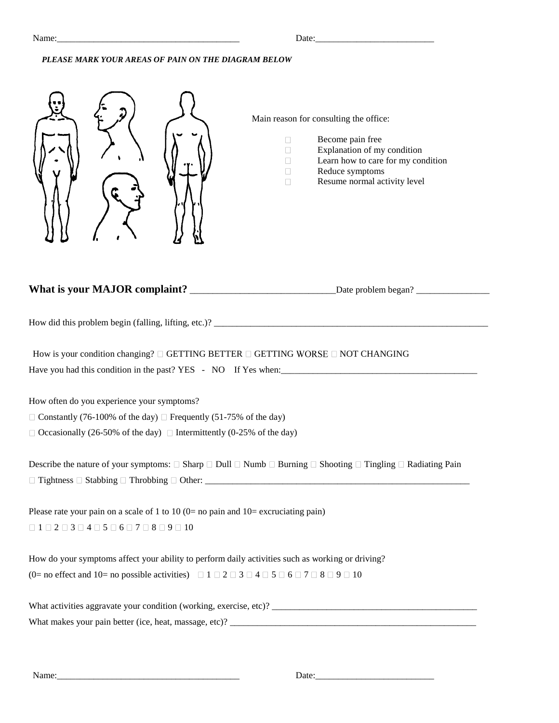Name:\_\_\_\_\_\_\_\_\_\_\_\_\_\_\_\_\_\_\_\_\_\_\_\_\_\_\_\_\_\_\_\_\_\_\_\_\_\_\_\_ Date:\_\_\_\_\_\_\_\_\_\_\_\_\_\_\_\_\_\_\_\_\_\_\_\_\_\_

#### *PLEASE MARK YOUR AREAS OF PAIN ON THE DIAGRAM BELOW*

| How is your condition changing? $\Box$ GETTING BETTER $\Box$ GETTING WORSE $\Box$ NOT CHANGING<br>How often do you experience your symptoms?<br>$\Box$ Constantly (76-100% of the day) $\Box$ Frequently (51-75% of the day)<br>$\Box$ Occasionally (26-50% of the day) $\Box$ Intermittently (0-25% of the day)<br>Describe the nature of your symptoms: $\Box$ Sharp $\Box$ Dull $\Box$ Numb $\Box$ Burning $\Box$ Shooting $\Box$ Tingling $\Box$ Radiating Pain<br>Please rate your pain on a scale of 1 to 10 ( $0=$ no pain and $10=$ excruciating pain)<br>How do your symptoms affect your ability to perform daily activities such as working or driving?<br>(0= no effect and 10= no possible activities) $\Box$ 1 $\Box$ 2 $\Box$ 3 $\Box$ 4 $\Box$ 5 $\Box$ 6 $\Box$ 7 $\Box$ 8 $\Box$ 9 $\Box$ 10 | Main reason for consulting the office:<br>Become pain free<br>$\Box$<br>Explanation of my condition<br>П<br>Learn how to care for my condition<br>$\Box$<br>Reduce symptoms<br>$\Box$<br>Resume normal activity level<br>П |
|----------------------------------------------------------------------------------------------------------------------------------------------------------------------------------------------------------------------------------------------------------------------------------------------------------------------------------------------------------------------------------------------------------------------------------------------------------------------------------------------------------------------------------------------------------------------------------------------------------------------------------------------------------------------------------------------------------------------------------------------------------------------------------------------------------------|----------------------------------------------------------------------------------------------------------------------------------------------------------------------------------------------------------------------------|
|                                                                                                                                                                                                                                                                                                                                                                                                                                                                                                                                                                                                                                                                                                                                                                                                                |                                                                                                                                                                                                                            |
|                                                                                                                                                                                                                                                                                                                                                                                                                                                                                                                                                                                                                                                                                                                                                                                                                |                                                                                                                                                                                                                            |
|                                                                                                                                                                                                                                                                                                                                                                                                                                                                                                                                                                                                                                                                                                                                                                                                                |                                                                                                                                                                                                                            |
|                                                                                                                                                                                                                                                                                                                                                                                                                                                                                                                                                                                                                                                                                                                                                                                                                |                                                                                                                                                                                                                            |
|                                                                                                                                                                                                                                                                                                                                                                                                                                                                                                                                                                                                                                                                                                                                                                                                                |                                                                                                                                                                                                                            |
|                                                                                                                                                                                                                                                                                                                                                                                                                                                                                                                                                                                                                                                                                                                                                                                                                |                                                                                                                                                                                                                            |
|                                                                                                                                                                                                                                                                                                                                                                                                                                                                                                                                                                                                                                                                                                                                                                                                                |                                                                                                                                                                                                                            |
|                                                                                                                                                                                                                                                                                                                                                                                                                                                                                                                                                                                                                                                                                                                                                                                                                |                                                                                                                                                                                                                            |

Name:\_\_\_\_\_\_\_\_\_\_\_\_\_\_\_\_\_\_\_\_\_\_\_\_\_\_\_\_\_\_\_\_\_\_\_\_\_\_\_\_ Date:\_\_\_\_\_\_\_\_\_\_\_\_\_\_\_\_\_\_\_\_\_\_\_\_\_\_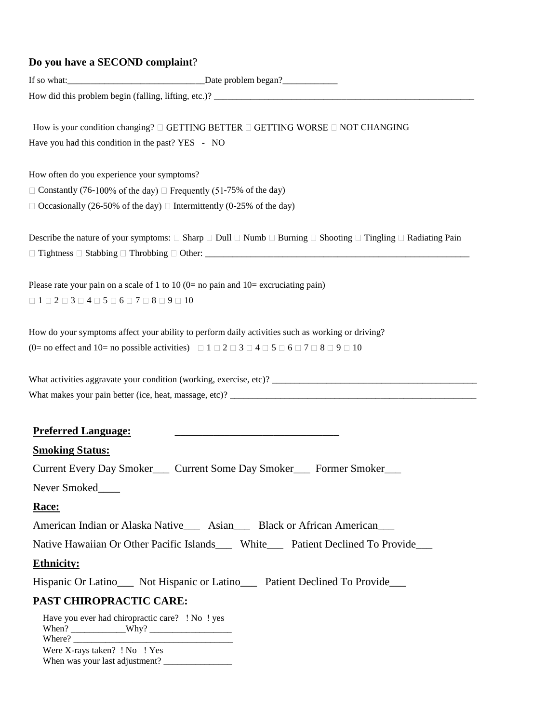## **Do you have a SECOND complaint**?

|                                                                                                                                                                    | How is your condition changing? $\Box$ GETTING BETTER $\Box$ GETTING WORSE $\Box$ NOT CHANGING                                                                                                                 |
|--------------------------------------------------------------------------------------------------------------------------------------------------------------------|----------------------------------------------------------------------------------------------------------------------------------------------------------------------------------------------------------------|
| Have you had this condition in the past? YES - NO                                                                                                                  |                                                                                                                                                                                                                |
| How often do you experience your symptoms?                                                                                                                         |                                                                                                                                                                                                                |
|                                                                                                                                                                    | $\Box$ Constantly (76-100% of the day) $\Box$ Frequently (51-75% of the day)                                                                                                                                   |
|                                                                                                                                                                    | $\Box$ Occasionally (26-50% of the day) $\Box$ Intermittently (0-25% of the day)                                                                                                                               |
|                                                                                                                                                                    | Describe the nature of your symptoms: $\square$ Sharp $\square$ Dull $\square$ Numb $\square$ Burning $\square$ Shooting $\square$ Tingling $\square$ Radiating Pain                                           |
|                                                                                                                                                                    |                                                                                                                                                                                                                |
|                                                                                                                                                                    | Please rate your pain on a scale of 1 to 10 ( $0=$ no pain and 10 = excruciating pain)                                                                                                                         |
| $\label{eq:3} \Box$<br>$1\mathrel{\Box}2\mathrel{\Box}3\mathrel{\Box}4\mathrel{\Box}5\mathrel{\Box}6\mathrel{\Box}7\mathrel{\Box}8\mathrel{\Box}9\mathrel{\Box}10$ |                                                                                                                                                                                                                |
|                                                                                                                                                                    | (0= no effect and 10= no possible activities) $\Box$ 1 $\Box$ 2 $\Box$ 3 $\Box$ 4 $\Box$ 5 $\Box$ 6 $\Box$ 7 $\Box$ 8 $\Box$ 9 $\Box$ 10<br>What activities aggravate your condition (working, exercise, etc)? |
|                                                                                                                                                                    |                                                                                                                                                                                                                |
| <b>Preferred Language:</b>                                                                                                                                         | the control of the control of the control of the control of the control of the control of                                                                                                                      |
| <b>Smoking Status:</b>                                                                                                                                             |                                                                                                                                                                                                                |
|                                                                                                                                                                    | Current Every Day Smoker____ Current Some Day Smoker____ Former Smoker___                                                                                                                                      |
| Never Smoked                                                                                                                                                       |                                                                                                                                                                                                                |
| Race:                                                                                                                                                              |                                                                                                                                                                                                                |
|                                                                                                                                                                    | American Indian or Alaska Native___ Asian___ Black or African American___                                                                                                                                      |
|                                                                                                                                                                    | Native Hawaiian Or Other Pacific Islands White Patient Declined To Provide                                                                                                                                     |
| <b>Ethnicity:</b>                                                                                                                                                  |                                                                                                                                                                                                                |
|                                                                                                                                                                    | Hispanic Or Latino____ Not Hispanic or Latino____ Patient Declined To Provide___                                                                                                                               |
| <b>PAST CHIROPRACTIC CARE:</b>                                                                                                                                     |                                                                                                                                                                                                                |
| Were X-rays taken? ! No ! Yes                                                                                                                                      | Have you ever had chiropractic care? ! No ! yes                                                                                                                                                                |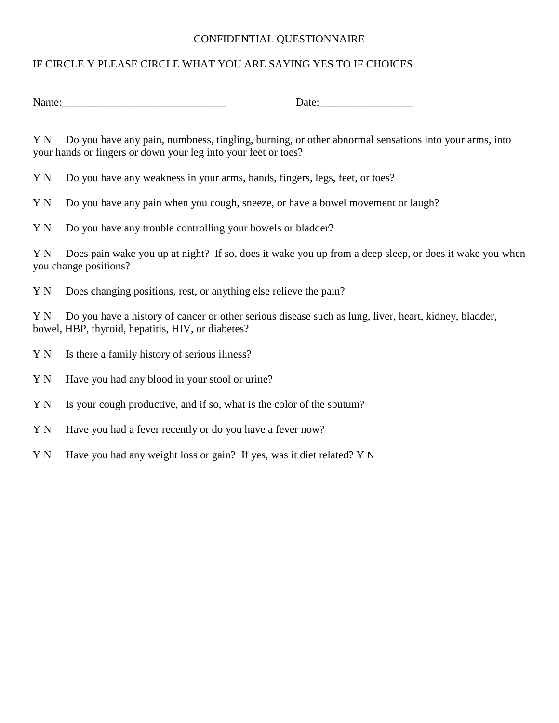#### CONFIDENTIAL QUESTIONNAIRE

### IF CIRCLE Y PLEASE CIRCLE WHAT YOU ARE SAYING YES TO IF CHOICES

Name: Letting the contract of the contract of the contract of the contract of the contract of the contract of the contract of the contract of the contract of the contract of the contract of the contract of the contract of

Y N Do you have any pain, numbness, tingling, burning, or other abnormal sensations into your arms, into your hands or fingers or down your leg into your feet or toes?

Y N Do you have any weakness in your arms, hands, fingers, legs, feet, or toes?

Y N Do you have any pain when you cough, sneeze, or have a bowel movement or laugh?

Y N Do you have any trouble controlling your bowels or bladder?

Y N Does pain wake you up at night? If so, does it wake you up from a deep sleep, or does it wake you when you change positions?

Y N Does changing positions, rest, or anything else relieve the pain?

Y N Do you have a history of cancer or other serious disease such as lung, liver, heart, kidney, bladder, bowel, HBP, thyroid, hepatitis, HIV, or diabetes?

- Y N Is there a family history of serious illness?
- Y N Have you had any blood in your stool or urine?
- Y N Is your cough productive, and if so, what is the color of the sputum?
- Y N Have you had a fever recently or do you have a fever now?
- Y N Have you had any weight loss or gain? If yes, was it diet related? Y N